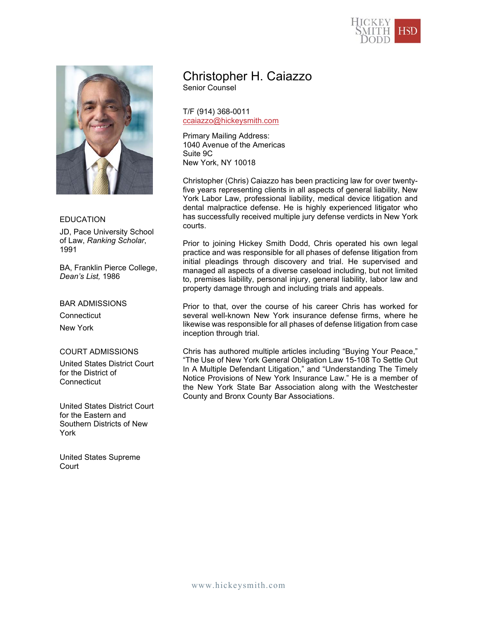



## EDUCATION

JD, Pace University School of Law, *Ranking Scholar*, 1991

BA, Franklin Pierce College, *Dean's List,* 1986

### BAR ADMISSIONS

**Connecticut** 

New York

#### COURT ADMISSIONS

United States District Court for the District of **Connecticut** 

United States District Court for the Eastern and Southern Districts of New York

United States Supreme Court

# Christopher H. Caiazzo

Senior Counsel

T/F (914) 368-0011 ccaiazzo@hickeysmith.com

Primary Mailing Address: 1040 Avenue of the Americas Suite 9C New York, NY 10018

Christopher (Chris) Caiazzo has been practicing law for over twentyfive years representing clients in all aspects of general liability, New York Labor Law, professional liability, medical device litigation and dental malpractice defense. He is highly experienced litigator who has successfully received multiple jury defense verdicts in New York courts.

Prior to joining Hickey Smith Dodd, Chris operated his own legal practice and was responsible for all phases of defense litigation from initial pleadings through discovery and trial. He supervised and managed all aspects of a diverse caseload including, but not limited to, premises liability, personal injury, general liability, labor law and property damage through and including trials and appeals.

Prior to that, over the course of his career Chris has worked for several well-known New York insurance defense firms, where he likewise was responsible for all phases of defense litigation from case inception through trial.

Chris has authored multiple articles including "Buying Your Peace," "The Use of New York General Obligation Law 15-108 To Settle Out In A Multiple Defendant Litigation," and "Understanding The Timely Notice Provisions of New York Insurance Law." He is a member of the New York State Bar Association along with the Westchester County and Bronx County Bar Associations.